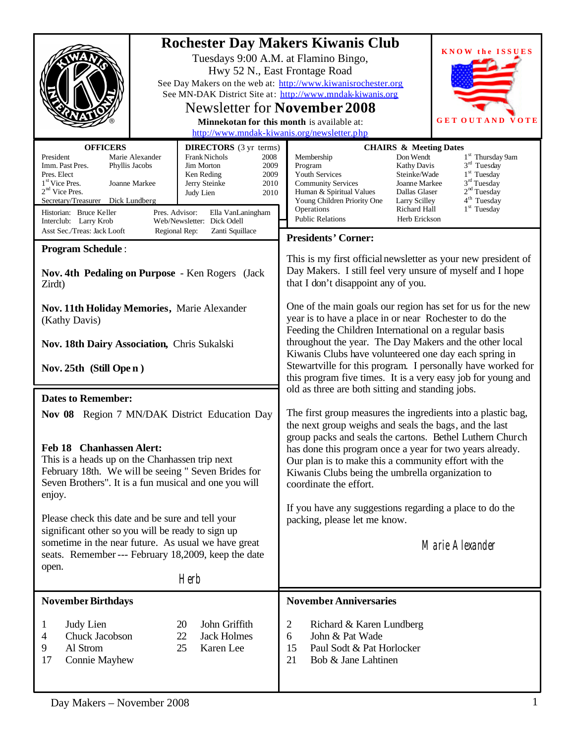|                                                                                                                                                                                                                                                                                   | http://www.mndak-kiwanis.org/newsletter.php                                                                                                                                                                | <b>Rochester Day Makers Kiwanis Club</b><br><b>KNOW the ISSUES</b><br>Tuesdays 9:00 A.M. at Flamino Bingo,<br>Hwy 52 N., East Frontage Road<br>See Day Makers on the web at: http://www.kiwanisrochester.org<br>See MN-DAK District Site at: http://www.mndak-kiwanis.org<br><b>Newsletter for November 2008</b><br><b>GET OUTAND VOTE</b><br>Minnekotan for this month is available at:                                                                                                                       |  |
|-----------------------------------------------------------------------------------------------------------------------------------------------------------------------------------------------------------------------------------------------------------------------------------|------------------------------------------------------------------------------------------------------------------------------------------------------------------------------------------------------------|----------------------------------------------------------------------------------------------------------------------------------------------------------------------------------------------------------------------------------------------------------------------------------------------------------------------------------------------------------------------------------------------------------------------------------------------------------------------------------------------------------------|--|
| <b>OFFICERS</b><br>Marie Alexander<br>President<br>Imm. Past Pres.<br>Phyllis Jacobs<br>Pres. Elect<br>Joanne Markee<br>1 <sup>st</sup> Vice Pres.<br>$2nd$ Vice Pres.<br>Secretary/Treasurer Dick Lundberg<br>Historian: Bruce Keller<br>Pres. Advisor:<br>Interclub: Larry Krob | <b>DIRECTORS</b> (3 yr terms)<br><b>Frank Nichols</b><br>2008<br>Jim Morton<br>2009<br>Ken Reding<br>2009<br>Jerry Steinke<br>2010<br>Judy Lien<br>2010<br>Ella VanLaningham<br>Web/Newsletter: Dick Odell | <b>CHAIRS &amp; Meeting Dates</b><br>Don Wendt<br>1 <sup>st</sup> Thursday 9am<br>Membership<br>$3rd$ Tuesday<br>Program<br><b>Kathy Davis</b><br>$1st$ Tuesday<br>Youth Services<br>Steinke/Wade<br>$3rd$ Tuesday<br><b>Community Services</b><br>Joanne Markee<br>2 <sup>nd</sup> Tuesday<br>Human & Spiritual Values<br>Dallas Glaser<br>4 <sup>th</sup> Tuesday<br>Young Children Priority One<br>Larry Scilley<br>Richard Hall<br>$1st$ Tuesday<br>Operations<br><b>Public Relations</b><br>Herb Erickson |  |
| Asst Sec./Treas: Jack Looft<br>Regional Rep:                                                                                                                                                                                                                                      | Zanti Squillace                                                                                                                                                                                            | <b>Presidents' Corner:</b>                                                                                                                                                                                                                                                                                                                                                                                                                                                                                     |  |
| <b>Program Schedule:</b><br>Nov. 4th Pedaling on Purpose - Ken Rogers (Jack<br>Zirdt)                                                                                                                                                                                             |                                                                                                                                                                                                            | This is my first official newsletter as your new president of<br>Day Makers. I still feel very unsure of myself and I hope<br>that I don't disappoint any of you.                                                                                                                                                                                                                                                                                                                                              |  |
| Nov. 11th Holiday Memories, Marie Alexander<br>(Kathy Davis)<br>Nov. 18th Dairy Association, Chris Sukalski                                                                                                                                                                       |                                                                                                                                                                                                            | One of the main goals our region has set for us for the new<br>year is to have a place in or near Rochester to do the<br>Feeding the Children International on a regular basis<br>throughout the year. The Day Makers and the other local<br>Kiwanis Clubs have volunteered one day each spring in<br>Stewartville for this program. I personally have worked for<br>this program five times. It is a very easy job for young and                                                                              |  |
| Nov. 25th (Still Open)                                                                                                                                                                                                                                                            |                                                                                                                                                                                                            |                                                                                                                                                                                                                                                                                                                                                                                                                                                                                                                |  |
| <b>Dates to Remember:</b>                                                                                                                                                                                                                                                         |                                                                                                                                                                                                            | old as three are both sitting and standing jobs.                                                                                                                                                                                                                                                                                                                                                                                                                                                               |  |
| Nov 08 Region 7 MN/DAK District Education Day                                                                                                                                                                                                                                     |                                                                                                                                                                                                            | The first group measures the ingredients into a plastic bag,<br>the next group weighs and seals the bags, and the last<br>group packs and seals the cartons. Bethel Luthern Church<br>has done this program once a year for two years already.<br>Our plan is to make this a community effort with the<br>Kiwanis Clubs being the umbrella organization to<br>coordinate the effort.                                                                                                                           |  |
| Feb 18 Chanhassen Alert:<br>This is a heads up on the Chanhassen trip next<br>February 18th. We will be seeing " Seven Brides for<br>Seven Brothers". It is a fun musical and one you will                                                                                        |                                                                                                                                                                                                            |                                                                                                                                                                                                                                                                                                                                                                                                                                                                                                                |  |
| enjoy.<br>Please check this date and be sure and tell your<br>significant other so you will be ready to sign up<br>sometime in the near future. As usual we have great<br>seats. Remember --- February 18,2009, keep the date<br>open.<br>Herb                                    |                                                                                                                                                                                                            | If you have any suggestions regarding a place to do the<br>packing, please let me know.<br>Marie Alexander                                                                                                                                                                                                                                                                                                                                                                                                     |  |
|                                                                                                                                                                                                                                                                                   |                                                                                                                                                                                                            |                                                                                                                                                                                                                                                                                                                                                                                                                                                                                                                |  |
| <b>November Birthdays</b>                                                                                                                                                                                                                                                         |                                                                                                                                                                                                            | <b>November Anniversaries</b>                                                                                                                                                                                                                                                                                                                                                                                                                                                                                  |  |
| Judy Lien<br>1<br>Chuck Jacobson<br>4<br>9<br>Al Strom<br>Connie Mayhew<br>17                                                                                                                                                                                                     | 20<br>John Griffith<br>22<br><b>Jack Holmes</b><br>25<br>Karen Lee                                                                                                                                         | $\overline{2}$<br>Richard & Karen Lundberg<br>John & Pat Wade<br>6<br>15<br>Paul Sodt & Pat Horlocker<br>21<br>Bob & Jane Lahtinen                                                                                                                                                                                                                                                                                                                                                                             |  |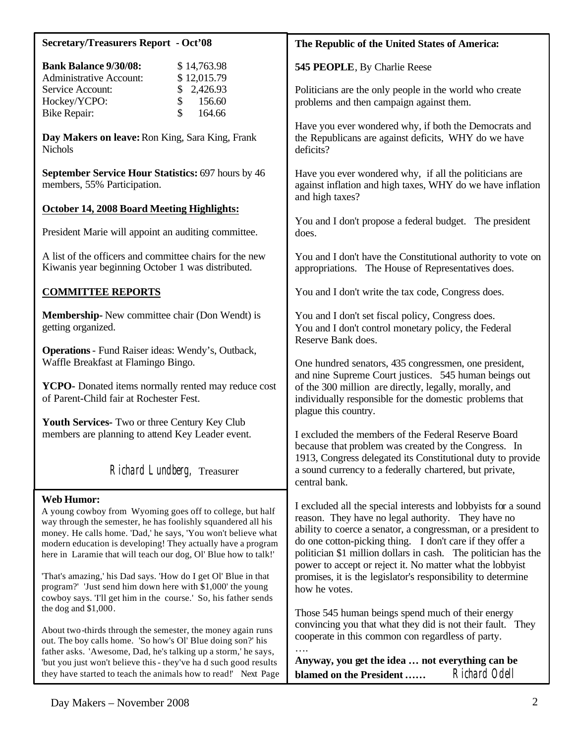| <b>Secretary/Treasurers Report - Oct'08</b>                                                                                                                                                                                                                                                                                                                                                                                                                                                                                                           | The Republic of the United States of America:                                                                                                                                                                                                                                                                                                                                                                                                                                                                                                                                                                                                                                                                                             |  |
|-------------------------------------------------------------------------------------------------------------------------------------------------------------------------------------------------------------------------------------------------------------------------------------------------------------------------------------------------------------------------------------------------------------------------------------------------------------------------------------------------------------------------------------------------------|-------------------------------------------------------------------------------------------------------------------------------------------------------------------------------------------------------------------------------------------------------------------------------------------------------------------------------------------------------------------------------------------------------------------------------------------------------------------------------------------------------------------------------------------------------------------------------------------------------------------------------------------------------------------------------------------------------------------------------------------|--|
| <b>Bank Balance 9/30/08:</b><br>\$14,763.98<br><b>Administrative Account:</b><br>\$12,015.79                                                                                                                                                                                                                                                                                                                                                                                                                                                          | 545 PEOPLE, By Charlie Reese                                                                                                                                                                                                                                                                                                                                                                                                                                                                                                                                                                                                                                                                                                              |  |
| 2,426.93<br>Service Account:<br>\$<br>\$<br>156.60<br>Hockey/YCPO:<br>\$<br><b>Bike Repair:</b><br>164.66                                                                                                                                                                                                                                                                                                                                                                                                                                             | Politicians are the only people in the world who create<br>problems and then campaign against them.                                                                                                                                                                                                                                                                                                                                                                                                                                                                                                                                                                                                                                       |  |
| Day Makers on leave: Ron King, Sara King, Frank<br><b>Nichols</b>                                                                                                                                                                                                                                                                                                                                                                                                                                                                                     | Have you ever wondered why, if both the Democrats and<br>the Republicans are against deficits, WHY do we have<br>deficits?                                                                                                                                                                                                                                                                                                                                                                                                                                                                                                                                                                                                                |  |
| September Service Hour Statistics: 697 hours by 46<br>members, 55% Participation.                                                                                                                                                                                                                                                                                                                                                                                                                                                                     | Have you ever wondered why, if all the politicians are<br>against inflation and high taxes, WHY do we have inflation<br>and high taxes?                                                                                                                                                                                                                                                                                                                                                                                                                                                                                                                                                                                                   |  |
| <b>October 14, 2008 Board Meeting Highlights:</b>                                                                                                                                                                                                                                                                                                                                                                                                                                                                                                     |                                                                                                                                                                                                                                                                                                                                                                                                                                                                                                                                                                                                                                                                                                                                           |  |
| President Marie will appoint an auditing committee.                                                                                                                                                                                                                                                                                                                                                                                                                                                                                                   | You and I don't propose a federal budget. The president<br>does.                                                                                                                                                                                                                                                                                                                                                                                                                                                                                                                                                                                                                                                                          |  |
| A list of the officers and committee chairs for the new<br>Kiwanis year beginning October 1 was distributed.                                                                                                                                                                                                                                                                                                                                                                                                                                          | You and I don't have the Constitutional authority to vote on<br>appropriations. The House of Representatives does.                                                                                                                                                                                                                                                                                                                                                                                                                                                                                                                                                                                                                        |  |
| <b>COMMITTEE REPORTS</b>                                                                                                                                                                                                                                                                                                                                                                                                                                                                                                                              | You and I don't write the tax code, Congress does.                                                                                                                                                                                                                                                                                                                                                                                                                                                                                                                                                                                                                                                                                        |  |
| <b>Membership-</b> New committee chair (Don Wendt) is<br>getting organized.                                                                                                                                                                                                                                                                                                                                                                                                                                                                           | You and I don't set fiscal policy, Congress does.<br>You and I don't control monetary policy, the Federal<br>Reserve Bank does.                                                                                                                                                                                                                                                                                                                                                                                                                                                                                                                                                                                                           |  |
| <b>Operations</b> - Fund Raiser ideas: Wendy's, Outback,<br>Waffle Breakfast at Flamingo Bingo.                                                                                                                                                                                                                                                                                                                                                                                                                                                       | One hundred senators, 435 congressmen, one president,                                                                                                                                                                                                                                                                                                                                                                                                                                                                                                                                                                                                                                                                                     |  |
| <b>YCPO-</b> Donated items normally rented may reduce cost<br>of Parent-Child fair at Rochester Fest.                                                                                                                                                                                                                                                                                                                                                                                                                                                 | and nine Supreme Court justices. 545 human beings out<br>of the 300 million are directly, legally, morally, and<br>individually responsible for the domestic problems that<br>plague this country.                                                                                                                                                                                                                                                                                                                                                                                                                                                                                                                                        |  |
| Youth Services- Two or three Century Key Club<br>members are planning to attend Key Leader event.                                                                                                                                                                                                                                                                                                                                                                                                                                                     | I excluded the members of the Federal Reserve Board                                                                                                                                                                                                                                                                                                                                                                                                                                                                                                                                                                                                                                                                                       |  |
| Richard Lundberg, Treasurer                                                                                                                                                                                                                                                                                                                                                                                                                                                                                                                           | because that problem was created by the Congress. In<br>1913, Congress delegated its Constitutional duty to provide<br>a sound currency to a federally chartered, but private,<br>central bank.                                                                                                                                                                                                                                                                                                                                                                                                                                                                                                                                           |  |
| <b>Web Humor:</b><br>A young cowboy from Wyoming goes off to college, but half<br>way through the semester, he has foolishly squandered all his<br>money. He calls home. 'Dad,' he says, 'You won't believe what<br>modern education is developing! They actually have a program<br>here in Laramie that will teach our dog, Ol' Blue how to talk!'<br>'That's amazing,' his Dad says. 'How do I get Ol' Blue in that<br>program?' 'Just send him down here with \$1,000' the young<br>cowboy says. T'll get him in the course.' So, his father sends | I excluded all the special interests and lobbyists for a sound<br>reason. They have no legal authority. They have no<br>ability to coerce a senator, a congressman, or a president to<br>do one cotton-picking thing. I don't care if they offer a<br>politician \$1 million dollars in cash. The politician has the<br>power to accept or reject it. No matter what the lobbyist<br>promises, it is the legislator's responsibility to determine<br>how he votes.<br>Those 545 human beings spend much of their energy<br>convincing you that what they did is not their fault. They<br>cooperate in this common con regardless of party.<br>Anyway, you get the idea  not everything can be<br>Richard Odell<br>blamed on the President |  |
| the dog and \$1,000.<br>About two-thirds through the semester, the money again runs<br>out. The boy calls home. 'So how's Ol' Blue doing son?' his<br>father asks. 'Awesome, Dad, he's talking up a storm,' he says,<br>'but you just won't believe this - they've had such good results<br>they have started to teach the animals how to read!' Next Page                                                                                                                                                                                            |                                                                                                                                                                                                                                                                                                                                                                                                                                                                                                                                                                                                                                                                                                                                           |  |